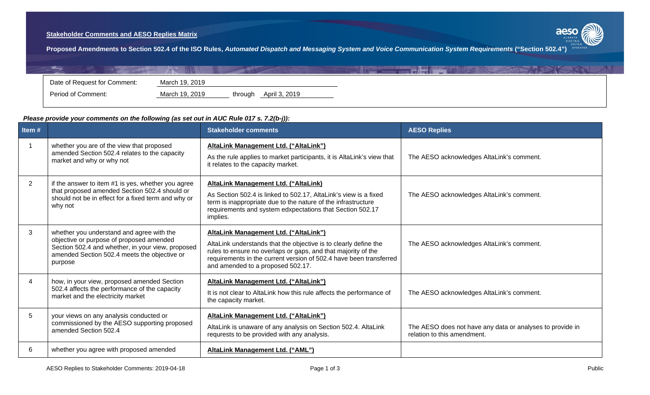## **Stakeholder Comments and AESO Replies Matrix**



**Proposed Amendments to Section 502.4 of the ISO Rules,** *Automated Dispatch and Messaging System and Voice Communication System Requirements* **("Section 502.4")**

| Date of Request for Comment: | March 19, 2019 |                          |  |  |
|------------------------------|----------------|--------------------------|--|--|
| Period of Comment:           | March 19, 2019 | April 3, 2019<br>through |  |  |

## *Please provide your comments on the following (as set out in AUC Rule 017 s. 7.2(b-j)):*

| Item#          |                                                                                                                                                                                                       | <b>Stakeholder comments</b>                                                                                                                                                                                                                                                           | <b>AESO Replies</b>                                                                      |
|----------------|-------------------------------------------------------------------------------------------------------------------------------------------------------------------------------------------------------|---------------------------------------------------------------------------------------------------------------------------------------------------------------------------------------------------------------------------------------------------------------------------------------|------------------------------------------------------------------------------------------|
|                | whether you are of the view that proposed<br>amended Section 502.4 relates to the capacity<br>market and why or why not                                                                               | AltaLink Management Ltd. ("AltaLink")<br>As the rule applies to market participants, it is AltaLink's view that<br>it relates to the capacity market.                                                                                                                                 | The AESO acknowledges AltaLink's comment.                                                |
| $\overline{2}$ | if the answer to item #1 is yes, whether you agree<br>that proposed amended Section 502.4 should or<br>should not be in effect for a fixed term and why or<br>why not                                 | <b>AltaLink Management Ltd. ("AltaLink)</b><br>As Section 502.4 is linked to 502.17, AltaLink's view is a fixed<br>term is inappropriate due to the nature of the infrastructure<br>requirements and system edxpectations that Section 502.17<br>implies.                             | The AESO acknowledges AltaLink's comment.                                                |
| 3              | whether you understand and agree with the<br>objective or purpose of proposed amended<br>Section 502.4 and whether, in your view, proposed<br>amended Section 502.4 meets the objective or<br>purpose | AltaLink Management Ltd. ("AltaLink")<br>AltaLink understands that the objective is to clearly define the<br>rules to ensure no overlaps or gaps, and that majority of the<br>requirements in the current version of 502.4 have been transferred<br>and amended to a proposed 502.17. | The AESO acknowledges AltaLink's comment.                                                |
| 4              | how, in your view, proposed amended Section<br>502.4 affects the performance of the capacity<br>market and the electricity market                                                                     | AltaLink Management Ltd. ("AltaLink")<br>It is not clear to AltaLink how this rule affects the performance of<br>the capacity market.                                                                                                                                                 | The AESO acknowledges AltaLink's comment.                                                |
| 5              | your views on any analysis conducted or<br>commissioned by the AESO supporting proposed<br>amended Section 502.4                                                                                      | AltaLink Management Ltd. ("AltaLink")<br>AltaLink is unaware of any analysis on Section 502.4. AltaLink<br>requrests to be provided with any analysis.                                                                                                                                | The AESO does not have any data or analyses to provide in<br>relation to this amendment. |
| 6              | whether you agree with proposed amended                                                                                                                                                               | <b>AltaLink Management Ltd. ("AML")</b>                                                                                                                                                                                                                                               |                                                                                          |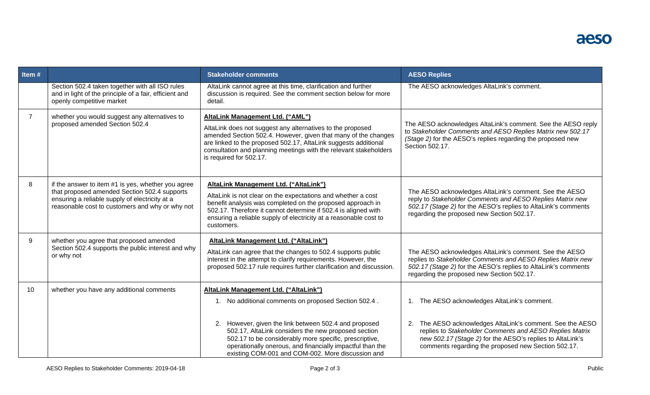| Item#           |                                                                                                                                                                                                         | <b>Stakeholder comments</b>                                                                                                                                                                                                                                                                                                         | <b>AESO Replies</b>                                                                                                                                                                                                                         |
|-----------------|---------------------------------------------------------------------------------------------------------------------------------------------------------------------------------------------------------|-------------------------------------------------------------------------------------------------------------------------------------------------------------------------------------------------------------------------------------------------------------------------------------------------------------------------------------|---------------------------------------------------------------------------------------------------------------------------------------------------------------------------------------------------------------------------------------------|
|                 | Section 502.4 taken together with all ISO rules<br>and in light of the principle of a fair, efficient and<br>openly competitive market                                                                  | AltaLink cannot agree at this time, clarification and further<br>discussion is required. See the comment section below for more<br>detail.                                                                                                                                                                                          | The AESO acknowledges AltaLink's comment.                                                                                                                                                                                                   |
| $\overline{7}$  | whether you would suggest any alternatives to<br>proposed amended Section 502.4                                                                                                                         | AltaLink Management Ltd. ("AML")<br>AltaLink does not suggest any alternatives to the proposed<br>amended Section 502.4. However, given that many of the changes<br>are linked to the proposed 502.17, AltaLink suggests additional<br>consultation and planning meetings with the relevant stakeholders<br>is required for 502.17. | The AESO acknowledges AltaLink's comment. See the AESO reply<br>to Stakeholder Comments and AESO Replies Matrix new 502.17<br>(Stage 2) for the AESO's replies regarding the proposed new<br>Section 502.17.                                |
| 8               | if the answer to item #1 is yes, whether you agree<br>that proposed amended Section 502.4 supports<br>ensuring a reliable supply of electricity at a<br>reasonable cost to customers and why or why not | AltaLink Management Ltd. ("AltaLink")<br>AltaLink is not clear on the expectations and whether a cost<br>benefit analysis was completed on the proposed approach in<br>502.17. Therefore it cannot determine if 502.4 is aligned with<br>ensuring a reliable supply of electricity at a reasonable cost to<br>customers.            | The AESO acknowledges AltaLink's comment. See the AESO<br>reply to Stakeholder Comments and AESO Replies Matrix new<br>502.17 (Stage 2) for the AESO's replies to AltaLink's comments<br>regarding the proposed new Section 502.17.         |
| 9               | whether you agree that proposed amended<br>Section 502.4 supports the public interest and why<br>or why not                                                                                             | AltaLink Management Ltd. ("AltaLink")<br>AltaLink can agree that the changes to 502.4 supports public<br>interest in the attempt to clarify requirements. However, the<br>proposed 502.17 rule requires further clarification and discussion.                                                                                       | The AESO acknowledges AltaLink's comment. See the AESO<br>replies to Stakeholder Comments and AESO Replies Matrix new<br>502.17 (Stage 2) for the AESO's replies to AltaLink's comments<br>regarding the proposed new Section 502.17.       |
| 10 <sup>°</sup> | whether you have any additional comments                                                                                                                                                                | AltaLink Management Ltd. ("AltaLink")<br>1. No additional comments on proposed Section 502.4.                                                                                                                                                                                                                                       | The AESO acknowledges AltaLink's comment.<br>1.                                                                                                                                                                                             |
|                 |                                                                                                                                                                                                         | 2. However, given the link between 502.4 and proposed<br>502.17, AltaLink considers the new proposed section<br>502.17 to be considerably more specific, prescriptive,<br>operationally onerous, and financially impactful than the<br>existing COM-001 and COM-002. More discussion and                                            | The AESO acknowledges AltaLink's comment. See the AESO<br>2.<br>replies to Stakeholder Comments and AESO Replies Matrix<br>new 502.17 (Stage 2) for the AESO's replies to AltaLink's<br>comments regarding the proposed new Section 502.17. |